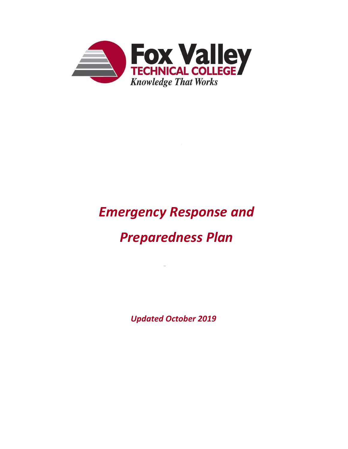

### *Emergency Response and*

### *Preparedness Plan*

*Updated October 2019*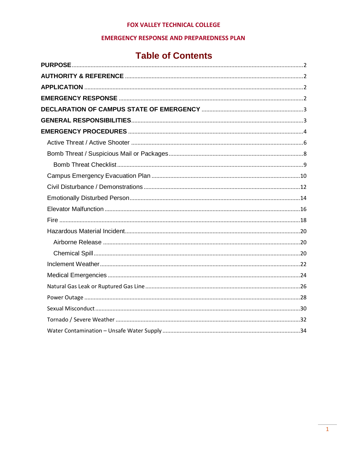#### **EMERGENCY RESPONSE AND PREPAREDNESS PLAN**

### **Table of Contents**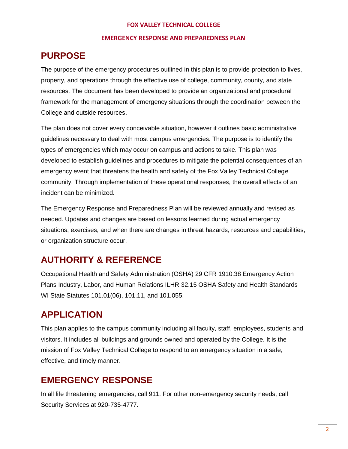#### **EMERGENCY RESPONSE AND PREPAREDNESS PLAN**

### <span id="page-2-0"></span>**PURPOSE**

The purpose of the emergency procedures outlined in this plan is to provide protection to lives, property, and operations through the effective use of college, community, county, and state resources. The document has been developed to provide an organizational and procedural framework for the management of emergency situations through the coordination between the College and outside resources.

The plan does not cover every conceivable situation, however it outlines basic administrative guidelines necessary to deal with most campus emergencies. The purpose is to identify the types of emergencies which may occur on campus and actions to take. This plan was developed to establish guidelines and procedures to mitigate the potential consequences of an emergency event that threatens the health and safety of the Fox Valley Technical College community. Through implementation of these operational responses, the overall effects of an incident can be minimized.

The Emergency Response and Preparedness Plan will be reviewed annually and revised as needed. Updates and changes are based on lessons learned during actual emergency situations, exercises, and when there are changes in threat hazards, resources and capabilities, or organization structure occur.

### <span id="page-2-1"></span>**AUTHORITY & REFERENCE**

Occupational Health and Safety Administration (OSHA) 29 CFR 1910.38 Emergency Action Plans Industry, Labor, and Human Relations ILHR 32.15 OSHA Safety and Health Standards WI State Statutes 101.01(06), 101.11, and 101.055.

### <span id="page-2-2"></span>**APPLICATION**

This plan applies to the campus community including all faculty, staff, employees, students and visitors. It includes all buildings and grounds owned and operated by the College. It is the mission of Fox Valley Technical College to respond to an emergency situation in a safe, effective, and timely manner.

### <span id="page-2-3"></span>**EMERGENCY RESPONSE**

In all life threatening emergencies, call 911. For other non-emergency security needs, call Security Services at 920-735-4777.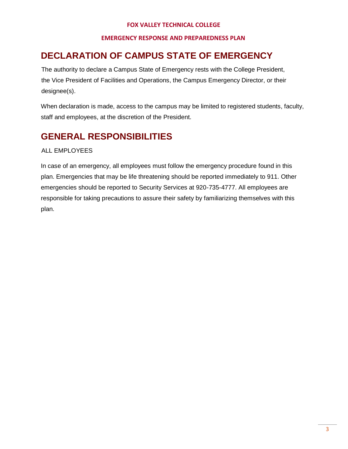#### **EMERGENCY RESPONSE AND PREPAREDNESS PLAN**

### <span id="page-3-0"></span>**DECLARATION OF CAMPUS STATE OF EMERGENCY**

The authority to declare a Campus State of Emergency rests with the College President, the Vice President of Facilities and Operations, the Campus Emergency Director, or their designee(s).

When declaration is made, access to the campus may be limited to registered students, faculty, staff and employees, at the discretion of the President.

### <span id="page-3-1"></span>**GENERAL RESPONSIBILITIES**

#### ALL EMPLOYEES

In case of an emergency, all employees must follow the emergency procedure found in this plan. Emergencies that may be life threatening should be reported immediately to 911. Other emergencies should be reported to Security Services at 920-735-4777. All employees are responsible for taking precautions to assure their safety by familiarizing themselves with this plan.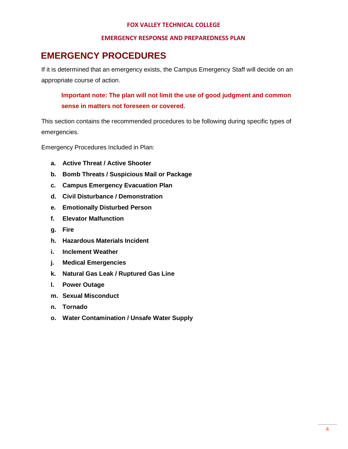#### **EMERGENCY RESPONSE AND PREPAREDNESS PLAN**

### <span id="page-4-0"></span>**EMERGENCY PROCEDURES**

If it is determined that an emergency exists, the Campus Emergency Staff will decide on an appropriate course of action.

**Important note: The plan will not limit the use of good judgment and common sense in matters not foreseen or covered.**

This section contains the recommended procedures to be following during specific types of emergencies.

Emergency Procedures Included in Plan:

- **a. Active Threat / Active Shooter**
- **b. Bomb Threats / Suspicious Mail or Package**
- **c. Campus Emergency Evacuation Plan**
- **d. Civil Disturbance / Demonstration**
- **e. Emotionally Disturbed Person**
- **f. Elevator Malfunction**
- **g. Fire**
- **h. Hazardous Materials Incident**
- **i. Inclement Weather**
- **j. Medical Emergencies**
- **k. Natural Gas Leak / Ruptured Gas Line**
- **l. Power Outage**
- **m. Sexual Misconduct**
- **n. Tornado**
- **o. Water Contamination / Unsafe Water Supply**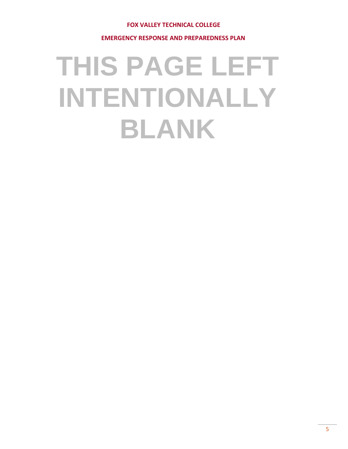**EMERGENCY RESPONSE AND PREPAREDNESS PLAN**

# **THIS PAGE LEFT INTENTIONALLY BLANK**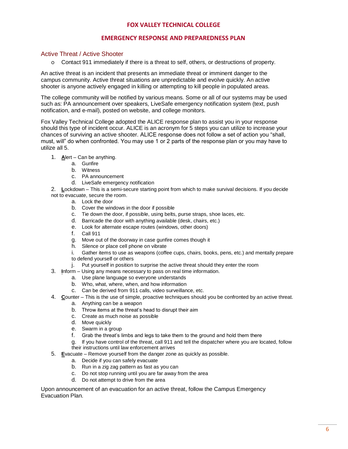#### **EMERGENCY RESPONSE AND PREPAREDNESS PLAN**

#### <span id="page-6-0"></span>Active Threat / Active Shooter

o Contact 911 immediately if there is a threat to self, others, or destructions of property.

An active threat is an incident that presents an immediate threat or imminent danger to the campus community. Active threat situations are unpredictable and evolve quickly. An active shooter is anyone actively engaged in killing or attempting to kill people in populated areas.

The college community will be notified by various means. Some or all of our systems may be used such as: PA announcement over speakers, LiveSafe emergency notification system (text, push notification, and e-mail), posted on website, and college monitors.

Fox Valley Technical College adopted the ALICE response plan to assist you in your response should this type of incident occur. ALICE is an acronym for 5 steps you can utilize to increase your chances of surviving an active shooter. ALICE response does not follow a set of action you "shall, must, will" do when confronted. You may use 1 or 2 parts of the response plan or you may have to utilize all 5.

- 1. **A**lert Can be anything.
	- a. Gunfire
	- b. Witness
	- c. PA announcement
	- d. LiveSafe emergency notification

2. **L**ockdown – This is a semi-secure starting point from which to make survival decisions. If you decide not to evacuate, secure the room.

- a. Lock the door
- b. Cover the windows in the door if possible
- c. Tie down the door, if possible, using belts, purse straps, shoe laces, etc.
- d. Barricade the door with anything available (desk, chairs, etc.)
- e. Look for alternate escape routes (windows, other doors)
- f. Call 911
- g. Move out of the doorway in case gunfire comes though it
- h. Silence or place cell phone on vibrate
- i. Gather items to use as weapons (coffee cups, chairs, books, pens, etc.) and mentally prepare
- to defend yourself or others
- j. Put yourself in position to surprise the active threat should they enter the room
- 3. **I**nform Using any means necessary to pass on real time information.
	- a. Use plane language so everyone understands
	- b. Who, what, where, when, and how information
	- c. Can be derived from 911 calls, video surveillance, etc.
- 4. **C**ounter This is the use of simple, proactive techniques should you be confronted by an active threat.
	- a. Anything can be a weapon
	- b. Throw items at the threat's head to disrupt their aim
	- c. Create as much noise as possible
	- d. Move quickly
	- e. Swarm in a group
	- f. Grab the threat's limbs and legs to take them to the ground and hold them there
	- g. If you have control of the threat, call 911 and tell the dispatcher where you are located, follow their instructions until law enforcement arrives
- 5. **E**vacuate Remove yourself from the danger zone as quickly as possible.
	- a. Decide if you can safely evacuate
		- b. Run in a zig zag pattern as fast as you can
		- c. Do not stop running until you are far away from the area
		- d. Do not attempt to drive from the area

Upon announcement of an evacuation for an active threat, follow the Campus Emergency Evacuation Plan.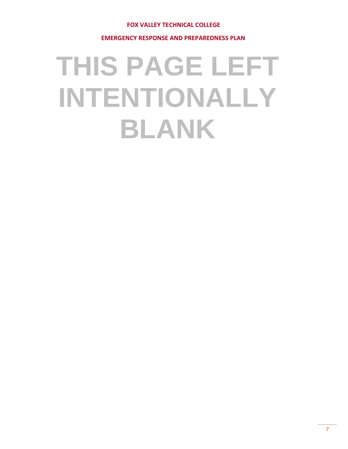**EMERGENCY RESPONSE AND PREPAREDNESS PLAN**

# **THIS PAGE LEFT INTENTIONALLY BLANK**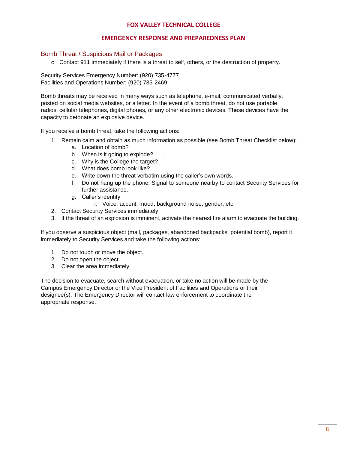#### **EMERGENCY RESPONSE AND PREPAREDNESS PLAN**

#### <span id="page-8-0"></span>Bomb Threat / Suspicious Mail or Packages

o Contact 911 immediately if there is a threat to self, others, or the destruction of property.

Security Services Emergency Number: (920) 735-4777 Facilities and Operations Number: (920) 735-2469

Bomb threats may be received in many ways such as telephone, e-mail, communicated verbally, posted on social media websites, or a letter. In the event of a bomb threat, do not use portable radios, cellular telephones, digital phones, or any other electronic devices. These devices have the capacity to detonate an explosive device.

If you receive a bomb threat, take the following actions:

- 1. Remain calm and obtain as much information as possible (see Bomb Threat Checklist below):
	- a. Location of bomb?
	- b. When is it going to explode?
	- c. Why is the College the target?
	- d. What does bomb look like?
	- e. Write down the threat verbatim using the caller's own words.
	- f. Do not hang up the phone. Signal to someone nearby to contact Security Services for further assistance.
	- g. Caller's identity
		- i. Voice, accent, mood, background noise, gender, etc.
- 2. Contact Security Services immediately.
- 3. If the threat of an explosion is imminent, activate the nearest fire alarm to evacuate the building.

If you observe a suspicious object (mail, packages, abandoned backpacks, potential bomb), report it immediately to Security Services and take the following actions:

- 1. Do not touch or move the object.
- 2. Do not open the object.
- 3. Clear the area immediately.

The decision to evacuate, search without evacuation, or take no action will be made by the Campus Emergency Director or the Vice President of Facilities and Operations or their designee(s). The Emergency Director will contact law enforcement to coordinate the appropriate response.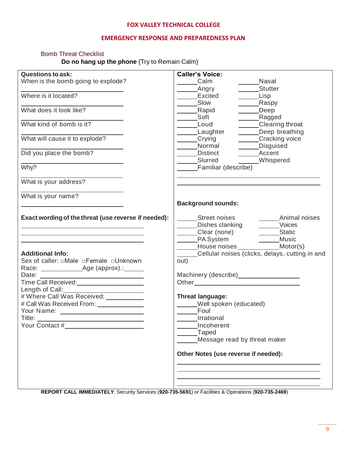#### **EMERGENCY RESPONSE AND PREPAREDNESS PLAN**

#### <span id="page-9-0"></span>Bomb Threat Checklist

**Do no hang up the phone** {Try to Remain Calm}

| <b>Questions to ask:</b>                                                                                                                | <b>Caller's Voice:</b>                                      |  |
|-----------------------------------------------------------------------------------------------------------------------------------------|-------------------------------------------------------------|--|
| When is the bomb going to explode?                                                                                                      | Calm<br>Nasal                                               |  |
|                                                                                                                                         | _______Stutter<br>_________Angry                            |  |
| Where is it located?                                                                                                                    | Excited<br>$\rule{1em}{0.15mm}$ Lisp                        |  |
|                                                                                                                                         | _______Slow<br>_______Raspy                                 |  |
| What does it look like?                                                                                                                 | ___Rapid<br>Deep<br>$\mathcal{L}^{\text{max}}$              |  |
|                                                                                                                                         | <b>Soft</b><br>Ragged<br>$\mathcal{L}^{\text{max}}$         |  |
| What kind of bomb is it?                                                                                                                | Loud<br>_____Clearing throat                                |  |
|                                                                                                                                         | Deep breathing<br>Laughter                                  |  |
| What will cause it to explode?                                                                                                          | Cracking voice<br>Crying                                    |  |
|                                                                                                                                         | ______Disguised<br>Normal                                   |  |
| Did you place the bomb?                                                                                                                 | <b>Distinct</b><br>Accent<br>$\frac{1}{2}$                  |  |
|                                                                                                                                         | Slurred Whispered                                           |  |
| Why?                                                                                                                                    | Familiar (describe)                                         |  |
|                                                                                                                                         | <u> 1989 - Johann Barn, amerikansk politiker (d. 1989)</u>  |  |
| What is your address?                                                                                                                   |                                                             |  |
|                                                                                                                                         |                                                             |  |
| What is your name?                                                                                                                      |                                                             |  |
|                                                                                                                                         | <b>Background sounds:</b>                                   |  |
|                                                                                                                                         |                                                             |  |
| Exact wording of the threat (use reverse if needed):                                                                                    | _________ Animal noises<br><b>Street noises</b>             |  |
| <u> 1989 - Johann Stein, marwolaethau a bhann an t-Amhain an t-Amhain an t-Amhain an t-Amhain an t-Amhain an t-A</u>                    | Dishes clanking<br>Voices                                   |  |
| <u> 1989 - Johann Stein, marwolaethau a bhann an t-Amhain an t-Amhain an t-Amhain an t-Amhain an t-Amhain an t-A</u>                    | Clear (none)<br>PA System<br>House noises Music<br>Motor(s) |  |
|                                                                                                                                         |                                                             |  |
| <b>Additional Info:</b>                                                                                                                 |                                                             |  |
|                                                                                                                                         | Cellular noises (clicks, delays, cutting in and             |  |
|                                                                                                                                         | out)                                                        |  |
|                                                                                                                                         |                                                             |  |
| Date: $\_\_$                                                                                                                            | Machinery (describe)____________________                    |  |
| Time Call Received:<br><u> </u>                                                                                                         |                                                             |  |
| Length of Call:<br><u>Length of Call:</u>                                                                                               |                                                             |  |
| # Where Call Was Received: __________                                                                                                   | Threat language:                                            |  |
| # Call Was Received From: _______________                                                                                               | ______Well spoken (educated)                                |  |
| Your Name: ___________________________                                                                                                  | Foul                                                        |  |
| Title: _______<br><u> 1989 - Johann Barbara, martin amerikan basar dan basa dan basa dan basa dalam basa dalam basa dalam basa dala</u> | ___ Irrational                                              |  |
|                                                                                                                                         | Incoherent                                                  |  |
|                                                                                                                                         | <b>Taped</b>                                                |  |
|                                                                                                                                         | Message read by threat maker                                |  |
|                                                                                                                                         | Other Notes (use reverse if needed):                        |  |
|                                                                                                                                         |                                                             |  |
|                                                                                                                                         |                                                             |  |
|                                                                                                                                         |                                                             |  |
|                                                                                                                                         |                                                             |  |

**REPORT CALL IMMEDIATELY**: Security Services (**920-735-5691**) or Facilities & Operations (**920-735-2469**)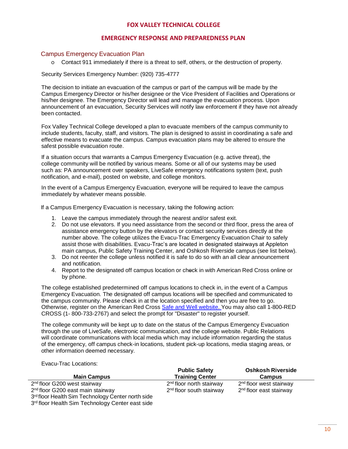#### **EMERGENCY RESPONSE AND PREPAREDNESS PLAN**

#### <span id="page-10-0"></span>Campus Emergency Evacuation Plan

o Contact 911 immediately if there is a threat to self, others, or the destruction of property.

#### Security Services Emergency Number: (920) 735-4777

The decision to initiate an evacuation of the campus or part of the campus will be made by the Campus Emergency Director or his/her designee or the Vice President of Facilities and Operations or his/her designee. The Emergency Director will lead and manage the evacuation process. Upon announcement of an evacuation, Security Services will notify law enforcement if they have not already been contacted.

Fox Valley Technical College developed a plan to evacuate members of the campus community to include students, faculty, staff, and visitors. The plan is designed to assist in coordinating a safe and effective means to evacuate the campus. Campus evacuation plans may be altered to ensure the safest possible evacuation route.

If a situation occurs that warrants a Campus Emergency Evacuation (e.g. active threat), the college community will be notified by various means. Some or all of our systems may be used such as: PA announcement over speakers, LiveSafe emergency notifications system (text, push notification, and e-mail), posted on website, and college monitors.

In the event of a Campus Emergency Evacuation, everyone will be required to leave the campus immediately by whatever means possible.

If a Campus Emergency Evacuation is necessary, taking the following action:

- 1. Leave the campus immediately through the nearest and/or safest exit.
- 2. Do not use elevators. If you need assistance from the second or third floor, press the area of assistance emergency button by the elevators or contact security services directly at the number above. The college utilizes the Evacu-Trac Emergency Evacuation Chair to safely assist those with disabilities. Evacu-Trac's are located in designated stairways at Appleton main campus, Public Safety Training Center, and Oshkosh Riverside campus (see list below).
- 3. Do not reenter the college unless notified it is safe to do so with an all clear announcement and notification.
- 4. Report to the designated off campus location or check in with American Red Cross online or by phone.

The college established predetermined off campus locations to check in, in the event of a Campus Emergency Evacuation. The designated off campus locations will be specified and communicated to the campus community. Please check in at the location specified and then you are free to go. Otherwise, register on the American Red Cros[s](https://safeandwell.communityos.org/cms/index.php) [Safe](https://safeandwell.communityos.org/cms/index.php) [and](https://safeandwell.communityos.org/cms/index.php) [Well](https://safeandwell.communityos.org/cms/index.php) [website.](https://safeandwell.communityos.org/cms/index.php) [Yo](https://safeandwell.communityos.org/cms/index.php)u may also call 1-800-RED CROSS (1- 800-733-2767) and select the prompt for "Disaster" to register yourself.

The college community will be kept up to date on the status of the Campus Emergency Evacuation through the use of LiveSafe, electronic communication, and the college website. Public Relations will coordinate communications with local media which may include information regarding the status of the emergency, off campus check-in locations, student pick-up locations, media staging areas, or other information deemed necessary.

Evacu-Trac Locations:

|                                                   | <b>Public Safety</b>                 | <b>Oshkosh Riverside</b>            |  |
|---------------------------------------------------|--------------------------------------|-------------------------------------|--|
| <b>Main Campus</b>                                | <b>Training Center</b>               | <b>Campus</b>                       |  |
| 2 <sup>nd</sup> floor G200 west stairway          | 2 <sup>nd</sup> floor north stairway | 2 <sup>nd</sup> floor west stairway |  |
| 2 <sup>nd</sup> floor G200 east main stairway     | 2 <sup>nd</sup> floor south stairway | 2 <sup>nd</sup> floor east stairway |  |
| 3rd floor Health Sim Technology Center north side |                                      |                                     |  |
| 3rd floor Health Sim Technology Center east side  |                                      |                                     |  |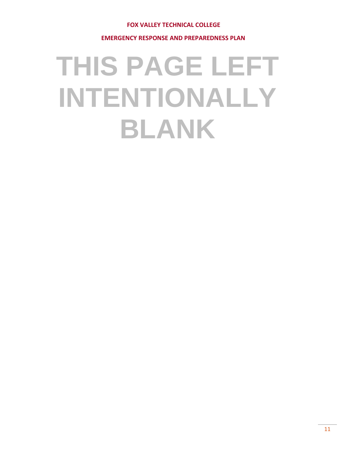**EMERGENCY RESPONSE AND PREPAREDNESS PLAN**

# **THIS PAGE LEFT INTENTIONALLY BLANK**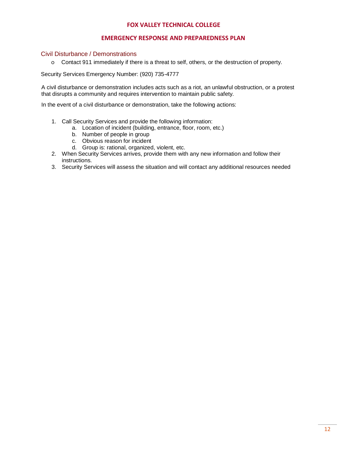#### **EMERGENCY RESPONSE AND PREPAREDNESS PLAN**

#### <span id="page-12-0"></span>Civil Disturbance / Demonstrations

o Contact 911 immediately if there is a threat to self, others, or the destruction of property.

Security Services Emergency Number: (920) 735-4777

A civil disturbance or demonstration includes acts such as a riot, an unlawful obstruction, or a protest that disrupts a community and requires intervention to maintain public safety.

In the event of a civil disturbance or demonstration, take the following actions:

- 1. Call Security Services and provide the following information:
	- a. Location of incident (building, entrance, floor, room, etc.)
	- b. Number of people in group
	- c. Obvious reason for incident
	- d. Group is: rational, organized, violent, etc.
- 2. When Security Services arrives, provide them with any new information and follow their instructions.
- 3. Security Services will assess the situation and will contact any additional resources needed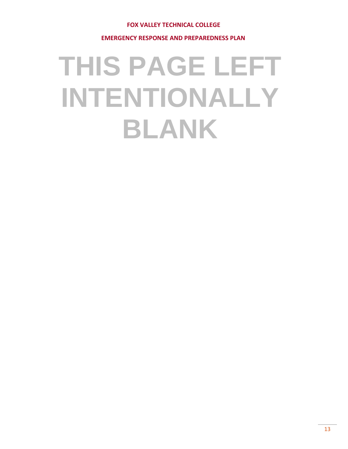**EMERGENCY RESPONSE AND PREPAREDNESS PLAN**

# **THIS PAGE LEFT INTENTIONALLY BLANK**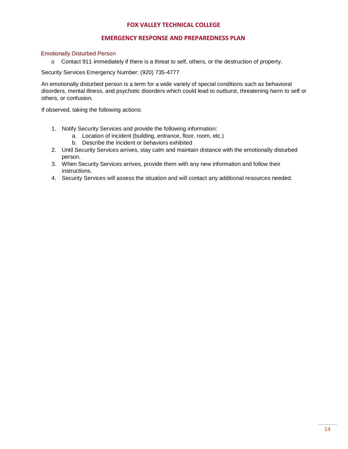#### **EMERGENCY RESPONSE AND PREPAREDNESS PLAN**

#### <span id="page-14-0"></span>Emotionally Disturbed Person

o Contact 911 immediately if there is a threat to self, others, or the destruction of property.

Security Services Emergency Number: (920) 735-4777

An emotionally disturbed person is a term for a wide variety of special conditions such as behavioral disorders, mental illness, and psychotic disorders which could lead to outburst, threatening harm to self or others, or confusion.

If observed, taking the following actions:

- 1. Notify Security Services and provide the following information:
	- a. Location of incident (building, entrance, floor, room, etc.)
	- b. Describe the incident or behaviors exhibited
- 2. Until Security Services arrives, stay calm and maintain distance with the emotionally disturbed person.
- 3. When Security Services arrives, provide them with any new information and follow their instructions.
- 4. Security Services will assess the situation and will contact any additional resources needed.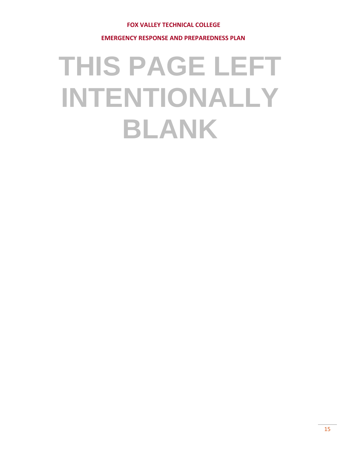**EMERGENCY RESPONSE AND PREPAREDNESS PLAN**

# **THIS PAGE LEFT INTENTIONALLY BLANK**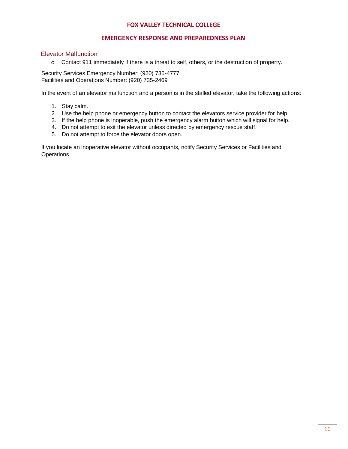#### **EMERGENCY RESPONSE AND PREPAREDNESS PLAN**

#### <span id="page-16-0"></span>Elevator Malfunction

o Contact 911 immediately if there is a threat to self, others, or the destruction of property.

Security Services Emergency Number: (920) 735-4777 Facilities and Operations Number: (920) 735-2469

In the event of an elevator malfunction and a person is in the stalled elevator, take the following actions:

- 1. Stay calm.
- 2. Use the help phone or emergency button to contact the elevators service provider for help.
- 3. If the help phone is inoperable, push the emergency alarm button which will signal for help.
- 4. Do not attempt to exit the elevator unless directed by emergency rescue staff.
- 5. Do not attempt to force the elevator doors open.

If you locate an inoperative elevator without occupants, notify Security Services or Facilities and Operations.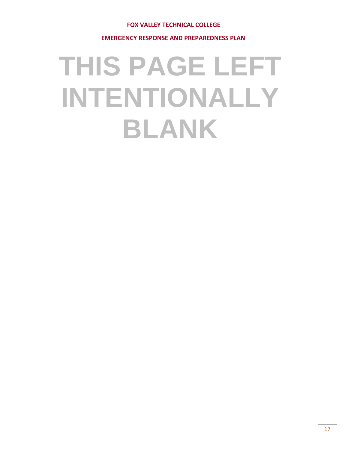**EMERGENCY RESPONSE AND PREPAREDNESS PLAN**

# **THIS PAGE LEFT INTENTIONALLY BLANK**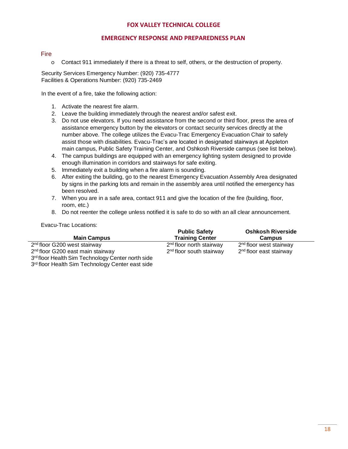#### **EMERGENCY RESPONSE AND PREPAREDNESS PLAN**

#### <span id="page-18-0"></span>Fire

o Contact 911 immediately if there is a threat to self, others, or the destruction of property.

Security Services Emergency Number: (920) 735-4777 Facilities & Operations Number: (920) 735-2469

In the event of a fire, take the following action:

- 1. Activate the nearest fire alarm.
- 2. Leave the building immediately through the nearest and/or safest exit.
- 3. Do not use elevators. If you need assistance from the second or third floor, press the area of assistance emergency button by the elevators or contact security services directly at the number above. The college utilizes the Evacu-Trac Emergency Evacuation Chair to safely assist those with disabilities. Evacu-Trac's are located in designated stairways at Appleton main campus, Public Safety Training Center, and Oshkosh Riverside campus (see list below).
- 4. The campus buildings are equipped with an emergency lighting system designed to provide enough illumination in corridors and stairways for safe exiting.
- 5. Immediately exit a building when a fire alarm is sounding.
- 6. After exiting the building, go to the nearest Emergency Evacuation Assembly Area designated by signs in the parking lots and remain in the assembly area until notified the emergency has been resolved.
- 7. When you are in a safe area, contact 911 and give the location of the fire (building, floor, room, etc.)
- 8. Do not reenter the college unless notified it is safe to do so with an all clear announcement.

Evacu-Trac Locations:

| Liuva Tiuv Lovunono.                              |                                      |                                     |  |
|---------------------------------------------------|--------------------------------------|-------------------------------------|--|
|                                                   | <b>Public Safety</b>                 | <b>Oshkosh Riverside</b>            |  |
| <b>Main Campus</b>                                | <b>Training Center</b>               | <b>Campus</b>                       |  |
| 2 <sup>nd</sup> floor G200 west stairway          | 2 <sup>nd</sup> floor north stairway | 2 <sup>nd</sup> floor west stairway |  |
| 2 <sup>nd</sup> floor G200 east main stairway     | 2 <sup>nd</sup> floor south stairway | 2 <sup>nd</sup> floor east stairway |  |
| 3rd floor Health Sim Technology Center north side |                                      |                                     |  |
| 3rd floor Health Sim Technology Center east side  |                                      |                                     |  |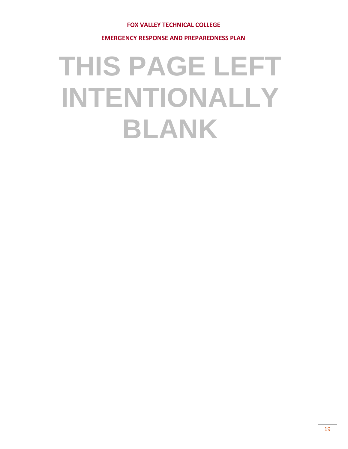**EMERGENCY RESPONSE AND PREPAREDNESS PLAN**

# **THIS PAGE LEFT INTENTIONALLY BLANK**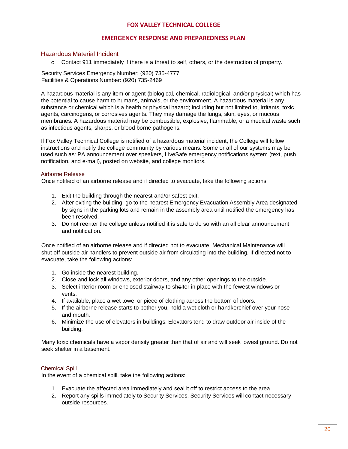#### **EMERGENCY RESPONSE AND PREPAREDNESS PLAN**

#### <span id="page-20-0"></span>Hazardous Material Incident

o Contact 911 immediately if there is a threat to self, others, or the destruction of property.

Security Services Emergency Number: (920) 735-4777 Facilities & Operations Number: (920) 735-2469

A hazardous material is any item or agent (biological, chemical, radiological, and/or physical) which has the potential to cause harm to humans, animals, or the environment. A hazardous material is any substance or chemical which is a health or physical hazard; including but not limited to, irritants, toxic agents, carcinogens, or corrosives agents. They may damage the lungs, skin, eyes, or mucous membranes. A hazardous material may be combustible, explosive, flammable, or a medical waste such as infectious agents, sharps, or blood borne pathogens.

If Fox Valley Technical College is notified of a hazardous material incident, the College will follow instructions and notify the college community by various means. Some or all of our systems may be used such as: PA announcement over speakers, LiveSafe emergency notifications system (text, push notification, and e-mail), posted on website, and college monitors.

#### <span id="page-20-1"></span>Airborne Release

Once notified of an airborne release and if directed to evacuate, take the following actions:

- 1. Exit the building through the nearest and/or safest exit.
- 2. After exiting the building, go to the nearest Emergency Evacuation Assembly Area designated by signs in the parking lots and remain in the assembly area until notified the emergency has been resolved.
- 3. Do not reenter the college unless notified it is safe to do so with an all clear announcement and notification.

Once notified of an airborne release and if directed not to evacuate, Mechanical Maintenance will shut off outside air handlers to prevent outside air from circulating into the building. If directed not to evacuate, take the following actions:

- 1. Go inside the nearest building.
- 2. Close and lock all windows, exterior doors, and any other openings to the outside.
- 3. Select interior room or enclosed stairway to shelter in place with the fewest windows or vents.
- 4. If available, place a wet towel or piece of clothing across the bottom of doors.
- 5. If the airborne release starts to bother you, hold a wet cloth or handkerchief over your nose and mouth.
- 6. Minimize the use of elevators in buildings. Elevators tend to draw outdoor air inside of the building.

Many toxic chemicals have a vapor density greater than that of air and will seek lowest ground. Do not seek shelter in a basement.

#### <span id="page-20-2"></span>Chemical Spill

In the event of a chemical spill, take the following actions:

- 1. Evacuate the affected area immediately and seal it off to restrict access to the area.
- 2. Report any spills immediately to Security Services. Security Services will contact necessary outside resources.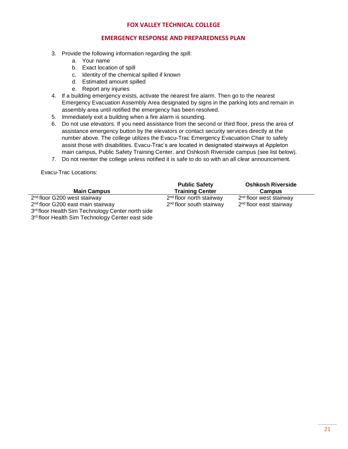#### **EMERGENCY RESPONSE AND PREPAREDNESS PLAN**

- 3. Provide the following information regarding the spill:
	- a. Your name
	- b. Exact location of spill
	- c. Identity of the chemical spilled if known
	- d. Estimated amount spilled
	- e. Report any injuries
- 4. If a building emergency exists, activate the nearest fire alarm. Then go to the nearest Emergency Evacuation Assembly Area designated by signs in the parking lots and remain in assembly area until notified the emergency has been resolved.
- 5. Immediately exit a building when a fire alarm is sounding.
- 6. Do not use elevators. If you need assistance from the second or third floor, press the area of assistance emergency button by the elevators or contact security services directly at the number above. The college utilizes the Evacu-Trac Emergency Evacuation Chair to safely assist those with disabilities. Evacu-Trac's are located in designated stairways at Appleton main campus, Public Safety Training Center, and Oshkosh Riverside campus (see list below).
- 7. Do not reenter the college unless notified it is safe to do so with an all clear announcement.

Evacu-Trac Locations:

| <b>Main Campus</b>                                | <b>Public Safety</b><br><b>Training Center</b> | <b>Oshkosh Riverside</b><br><b>Campus</b> |
|---------------------------------------------------|------------------------------------------------|-------------------------------------------|
| 2 <sup>nd</sup> floor G200 west stairway          | 2 <sup>nd</sup> floor north stairway           | 2 <sup>nd</sup> floor west stairway       |
| 2 <sup>nd</sup> floor G200 east main stairway     | 2 <sup>nd</sup> floor south stairway           | 2 <sup>nd</sup> floor east stairway       |
| 3rd floor Health Sim Technology Center north side |                                                |                                           |
| 3rd floor Health Sim Technology Center east side  |                                                |                                           |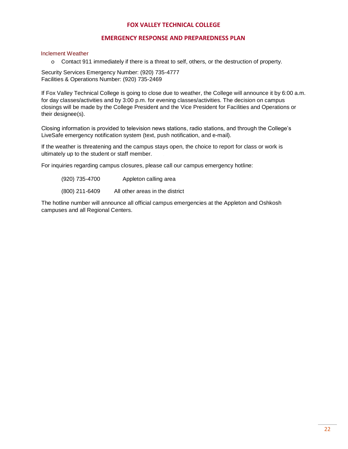#### **EMERGENCY RESPONSE AND PREPAREDNESS PLAN**

#### <span id="page-22-0"></span>Inclement Weather

o Contact 911 immediately if there is a threat to self, others, or the destruction of property.

Security Services Emergency Number: (920) 735-4777 Facilities & Operations Number: (920) 735-2469

If Fox Valley Technical College is going to close due to weather, the College will announce it by 6:00 a.m. for day classes/activities and by 3:00 p.m. for evening classes/activities. The decision on campus closings will be made by the College President and the Vice President for Facilities and Operations or their designee(s).

Closing information is provided to television news stations, radio stations, and through the College's LiveSafe emergency notification system (text, push notification, and e-mail).

If the weather is threatening and the campus stays open, the choice to report for class or work is ultimately up to the student or staff member.

For inquiries regarding campus closures, please call our campus emergency hotline:

| (920) 735-4700 | Appleton calling area           |
|----------------|---------------------------------|
| (800) 211-6409 | All other areas in the district |

The hotline number will announce all official campus emergencies at the Appleton and Oshkosh campuses and all Regional Centers.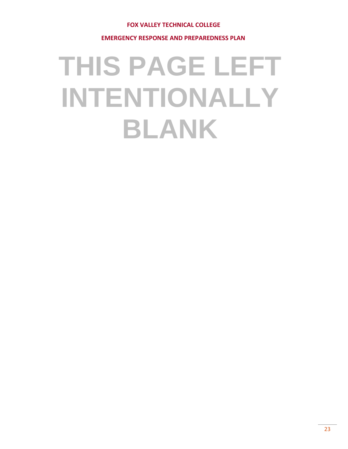**EMERGENCY RESPONSE AND PREPAREDNESS PLAN**

# **THIS PAGE LEFT INTENTIONALLY BLANK**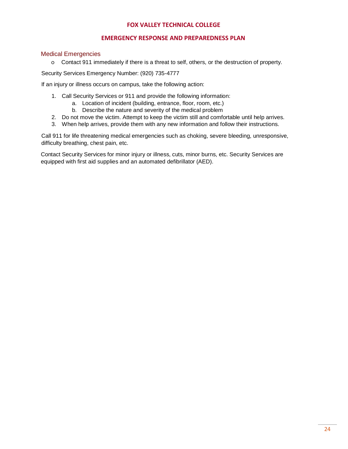#### **EMERGENCY RESPONSE AND PREPAREDNESS PLAN**

#### <span id="page-24-0"></span>Medical Emergencies

o Contact 911 immediately if there is a threat to self, others, or the destruction of property.

Security Services Emergency Number: (920) 735-4777

If an injury or illness occurs on campus, take the following action:

- 1. Call Security Services or 911 and provide the following information:
	- a. Location of incident (building, entrance, floor, room, etc.)
	- b. Describe the nature and severity of the medical problem
- 2. Do not move the victim. Attempt to keep the victim still and comfortable until help arrives.
- 3. When help arrives, provide them with any new information and follow their instructions.

Call 911 for life threatening medical emergencies such as choking, severe bleeding, unresponsive, difficulty breathing, chest pain, etc.

Contact Security Services for minor injury or illness, cuts, minor burns, etc. Security Services are equipped with first aid supplies and an automated defibrillator (AED).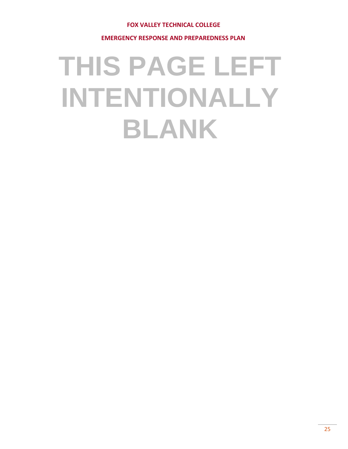**EMERGENCY RESPONSE AND PREPAREDNESS PLAN**

# **THIS PAGE LEFT INTENTIONALLY BLANK**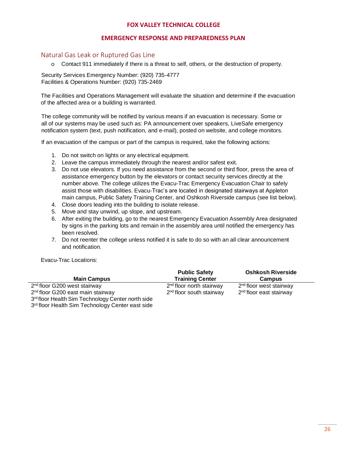#### **EMERGENCY RESPONSE AND PREPAREDNESS PLAN**

#### <span id="page-26-0"></span>Natural Gas Leak or Ruptured Gas Line

o Contact 911 immediately if there is a threat to self, others, or the destruction of property.

Security Services Emergency Number: (920) 735-4777 Facilities & Operations Number: (920) 735-2469

The Facilities and Operations Management will evaluate the situation and determine if the evacuation of the affected area or a building is warranted.

The college community will be notified by various means if an evacuation is necessary. Some or all of our systems may be used such as: PA announcement over speakers, LiveSafe emergency notification system (text, push notification, and e-mail), posted on website, and college monitors.

If an evacuation of the campus or part of the campus is required, take the following actions:

- 1. Do not switch on lights or any electrical equipment.
- 2. Leave the campus immediately through the nearest and/or safest exit.
- 3. Do not use elevators. If you need assistance from the second or third floor, press the area of assistance emergency button by the elevators or contact security services directly at the number above. The college utilizes the Evacu-Trac Emergency Evacuation Chair to safely assist those with disabilities. Evacu-Trac's are located in designated stairways at Appleton main campus, Public Safety Training Center, and Oshkosh Riverside campus (see list below).
- 4. Close doors leading into the building to isolate release.
- 5. Move and stay unwind, up slope, and upstream.
- 6. After exiting the building, go to the nearest Emergency Evacuation Assembly Area designated by signs in the parking lots and remain in the assembly area until notified the emergency has been resolved.
- 7. Do not reenter the college unless notified it is safe to do so with an all clear announcement and notification.

Evacu-Trac Locations:

|                                                   | <b>Public Safety</b>                 | <b>Oshkosh Riverside</b>            |
|---------------------------------------------------|--------------------------------------|-------------------------------------|
| <b>Main Campus</b>                                | <b>Training Center</b>               | <b>Campus</b>                       |
| 2 <sup>nd</sup> floor G200 west stairway          | 2 <sup>nd</sup> floor north stairway | 2 <sup>nd</sup> floor west stairway |
| 2 <sup>nd</sup> floor G200 east main stairway     | 2 <sup>nd</sup> floor south stairway | 2 <sup>nd</sup> floor east stairway |
| 3rd floor Health Sim Technology Center north side |                                      |                                     |
| 3rd floor Health Sim Technology Center east side  |                                      |                                     |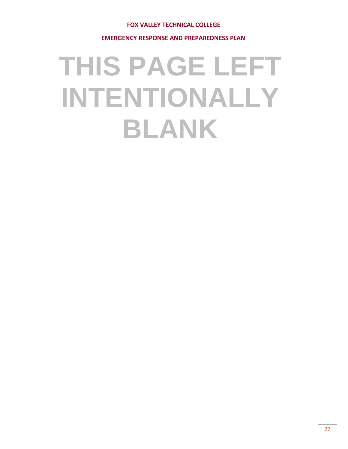**EMERGENCY RESPONSE AND PREPAREDNESS PLAN**

# **THIS PAGE LEFT INTENTIONALLY BLANK**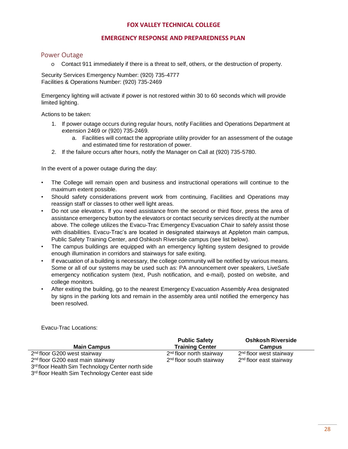#### **EMERGENCY RESPONSE AND PREPAREDNESS PLAN**

#### <span id="page-28-0"></span>Power Outage

o Contact 911 immediately if there is a threat to self, others, or the destruction of property.

Security Services Emergency Number: (920) 735-4777 Facilities & Operations Number: (920) 735-2469

Emergency lighting will activate if power is not restored within 30 to 60 seconds which will provide limited lighting.

Actions to be taken:

- 1. If power outage occurs during regular hours, notify Facilities and Operations Department at extension 2469 or (920) 735-2469.
	- a. Facilities will contact the appropriate utility provider for an assessment of the outage and estimated time for restoration of power.
- 2. If the failure occurs after hours, notify the Manager on Call at (920) 735-5780.

In the event of a power outage during the day:

- The College will remain open and business and instructional operations will continue to the maximum extent possible.
- Should safety considerations prevent work from continuing, Facilities and Operations may reassign staff or classes to other well light areas.
- Do not use elevators. If you need assistance from the second or third floor, press the area of assistance emergency button by the elevators or contact security services directly at the number above. The college utilizes the Evacu-Trac Emergency Evacuation Chair to safely assist those with disabilities. Evacu-Trac's are located in designated stairways at Appleton main campus, Public Safety Training Center, and Oshkosh Riverside campus (see list below).
- The campus buildings are equipped with an emergency lighting system designed to provide enough illumination in corridors and stairways for safe exiting.
- If evacuation of a building is necessary, the college community will be notified by various means. Some or all of our systems may be used such as: PA announcement over speakers, LiveSafe emergency notification system (text, Push notification, and e-mail), posted on website, and college monitors.
- After exiting the building, go to the nearest Emergency Evacuation Assembly Area designated by signs in the parking lots and remain in the assembly area until notified the emergency has been resolved.

|                                                   | <b>Public Safety</b>                 | <b>Oshkosh Riverside</b>            |
|---------------------------------------------------|--------------------------------------|-------------------------------------|
| <b>Main Campus</b>                                | <b>Training Center</b>               | <b>Campus</b>                       |
| 2 <sup>nd</sup> floor G200 west stairway          | 2 <sup>nd</sup> floor north stairway | 2 <sup>nd</sup> floor west stairway |
| 2 <sup>nd</sup> floor G200 east main stairway     | 2 <sup>nd</sup> floor south stairway | 2 <sup>nd</sup> floor east stairway |
| 3rd floor Health Sim Technology Center north side |                                      |                                     |
| 3rd floor Health Sim Technology Center east side  |                                      |                                     |

Evacu-Trac Locations: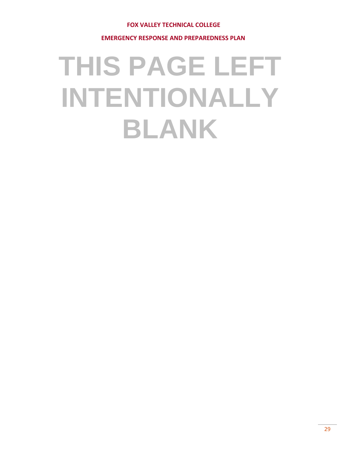**EMERGENCY RESPONSE AND PREPAREDNESS PLAN**

# **THIS PAGE LEFT INTENTIONALLY BLANK**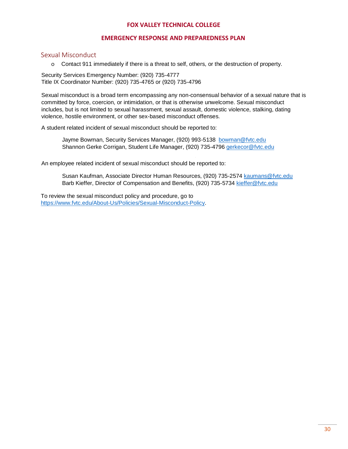#### **EMERGENCY RESPONSE AND PREPAREDNESS PLAN**

#### <span id="page-30-0"></span>Sexual Misconduct

o Contact 911 immediately if there is a threat to self, others, or the destruction of property.

Security Services Emergency Number: (920) 735-4777 Title IX Coordinator Number: (920) 735-4765 or (920) 735-4796

Sexual misconduct is a broad term encompassing any non-consensual behavior of a sexual nature that is committed by force, coercion, or intimidation, or that is otherwise unwelcome. Sexual misconduct includes, but is not limited to sexual harassment, sexual assault, domestic violence, stalking, dating violence, hostile environment, or other sex-based misconduct offenses.

A student related incident of sexual misconduct should be reported to:

Jayme Bowman, Security Services Manager, (920) 993-5138 bowman@fvtc.edu Shannon Gerke Corrigan, Student Life Manager, (920) 735-4796 gerkecor@fvtc.edu

An employee related incident of sexual misconduct should be reported to:

Susan Kaufman, Associate Director Human Resources, (920) 735-2574 kaumans@fvtc.edu Barb Kieffer, Director of Compensation and Benefits, (920) 735-5734 kieffer@fvtc.edu

To review the sexual misconduct policy and procedure, go to [https://www.fvtc.edu/About-Us/Policies/Sexual-Misconduct-Policy.](https://www.fvtc.edu/About-Us/Policies/Sexual-Misconduct-Policy)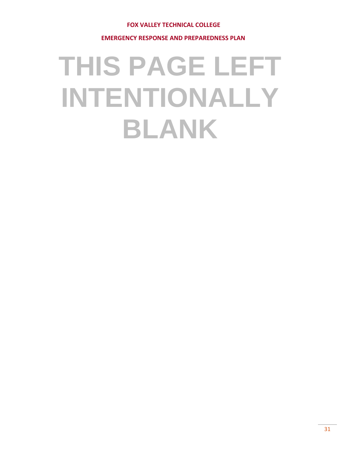**EMERGENCY RESPONSE AND PREPAREDNESS PLAN**

# **THIS PAGE LEFT INTENTIONALLY BLANK**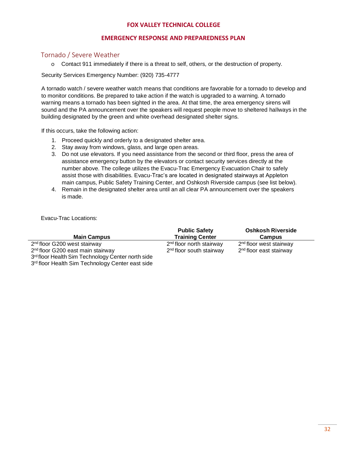#### **EMERGENCY RESPONSE AND PREPAREDNESS PLAN**

#### <span id="page-32-0"></span>Tornado / Severe Weather

o Contact 911 immediately if there is a threat to self, others, or the destruction of property.

Security Services Emergency Number: (920) 735-4777

A tornado watch / severe weather watch means that conditions are favorable for a tornado to develop and to monitor conditions. Be prepared to take action if the watch is upgraded to a warning. A tornado warning means a tornado has been sighted in the area. At that time, the area emergency sirens will sound and the PA announcement over the speakers will request people move to sheltered hallways in the building designated by the green and white overhead designated shelter signs.

If this occurs, take the following action:

- 1. Proceed quickly and orderly to a designated shelter area.
- 2. Stay away from windows, glass, and large open areas.
- 3. Do not use elevators. If you need assistance from the second or third floor, press the area of assistance emergency button by the elevators or contact security services directly at the number above. The college utilizes the Evacu-Trac Emergency Evacuation Chair to safely assist those with disabilities. Evacu-Trac's are located in designated stairways at Appleton main campus, Public Safety Training Center, and Oshkosh Riverside campus (see list below).
- 4. Remain in the designated shelter area until an all clear PA announcement over the speakers is made.

Evacu-Trac Locations:

| <b>Main Campus</b>                                | <b>Public Safety</b><br><b>Training Center</b> | <b>Oshkosh Riverside</b><br><b>Campus</b> |
|---------------------------------------------------|------------------------------------------------|-------------------------------------------|
| 2 <sup>nd</sup> floor G200 west stairway          | 2 <sup>nd</sup> floor north stairway           | 2 <sup>nd</sup> floor west stairway       |
| 2 <sup>nd</sup> floor G200 east main stairway     | 2 <sup>nd</sup> floor south stairway           | 2 <sup>nd</sup> floor east stairway       |
| 3rd floor Health Sim Technology Center north side |                                                |                                           |
| 3rd floor Health Sim Technology Center east side  |                                                |                                           |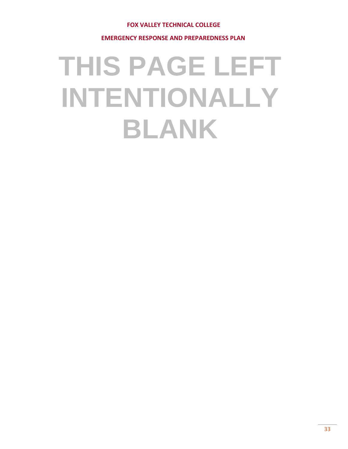**EMERGENCY RESPONSE AND PREPAREDNESS PLAN**

# **THIS PAGE LEFT INTENTIONALLY BLANK**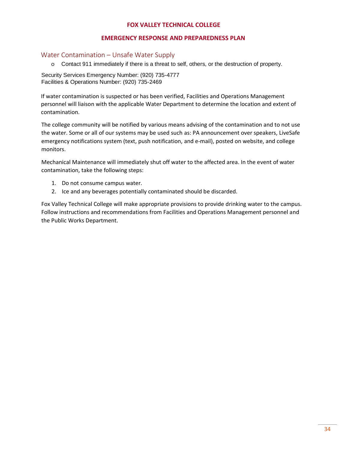#### **EMERGENCY RESPONSE AND PREPAREDNESS PLAN**

#### <span id="page-34-0"></span>Water Contamination – Unsafe Water Supply

o Contact 911 immediately if there is a threat to self, others, or the destruction of property.

Security Services Emergency Number: (920) 735-4777 Facilities & Operations Number: (920) 735-2469

If water contamination is suspected or has been verified, Facilities and Operations Management personnel will liaison with the applicable Water Department to determine the location and extent of contamination.

The college community will be notified by various means advising of the contamination and to not use the water. Some or all of our systems may be used such as: PA announcement over speakers, LiveSafe emergency notifications system (text, push notification, and e-mail), posted on website, and college monitors.

Mechanical Maintenance will immediately shut off water to the affected area. In the event of water contamination, take the following steps:

- 1. Do not consume campus water.
- 2. Ice and any beverages potentially contaminated should be discarded.

Fox Valley Technical College will make appropriate provisions to provide drinking water to the campus. Follow instructions and recommendations from Facilities and Operations Management personnel and the Public Works Department.